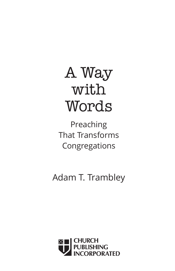# A Way with Words

Preaching That Transforms Congregations

Adam T. Trambley

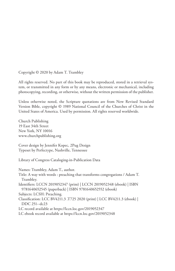Copyright © 2020 by Adam T. Trambley

All rights reserved. No part of this book may be reproduced, stored in a retrieval system, or transmitted in any form or by any means, electronic or mechanical, including photocopying, recording, or otherwise, without the written permission of the publisher.

Unless otherwise noted, the Scripture quotations are from New Revised Standard Version Bible, copyright © 1989 National Council of the Churches of Christ in the United States of America. Used by permission. All rights reserved worldwide.

Church Publishing 19 East 34th Street New York, NY 10016 www.churchpublishing.org

Cover design by Jennifer Kopec, 2Pug Design Typeset by Perfectype, Nashville, Tennessee

Library of Congress Cataloging-in-Publication Data

Names: Trambley, Adam T., author.

Title: A way with words : preaching that transforms congregations / Adam T. Trambley.

Identifiers: LCCN 2019052347 (print) | LCCN 2019052348 (ebook) | ISBN 9781640652545 (paperback) | ISBN 9781640652552 (ebook)

Subjects: LCSH: Preaching.

Classification: LCC BV4211.3 .T725 2020 (print) | LCC BV4211.3 (ebook) | DDC 251--dc23

LC record available at https://lccn.loc.gov/2019052347

LC ebook record available at https://lccn.loc.gov/2019052348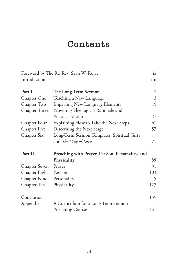## **Contents**

|                     | Foreword by The Rt. Rev. Sean W. Rowe            | ix   |
|---------------------|--------------------------------------------------|------|
| Introduction        |                                                  | xiii |
| Part I              | The Long-Term Sermon                             | 1    |
| Chapter One         | Teaching a New Language                          | 3    |
| Chapter Two         | <b>Imparting New Language Elements</b>           | 15   |
| Chapter Three       | Providing Theological Rationale and              |      |
|                     | Practical Vision                                 | 27   |
| Chapter Four        | Explaining How to Take the Next Steps            | 41   |
| Chapter Five        | Discerning the Next Stage                        | 57   |
| Chapter Six         | Long-Term Sermon Templates: Spiritual Gifts      |      |
|                     | and The Way of Love                              | 71   |
| Part II             | Preaching with Prayer, Passion, Personality, and |      |
|                     | Physicality                                      | 89   |
| Chapter Seven       | Prayer                                           | 91   |
| Chapter Eight       | Passion                                          | 103  |
| <b>Chapter Nine</b> | Personality                                      | 115  |
| Chapter Ten         | Physicality                                      | 127  |
| Conclusion          |                                                  | 139  |
| Appendix            | A Curriculum for a Long-Term Sermon              |      |
|                     | <b>Preaching Course</b>                          | 141  |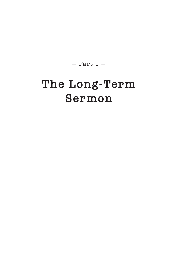$-$  Part 1  $-$ 

# **The Long-Term Sermon**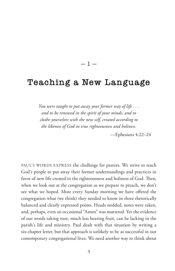#### $-1-$

### **Teaching a New Language**

*You were taught to put away your former way of life . . . and to be renewed in the spirit of your minds, and to clothe yourselves with the new self, created according to the likeness of God in true righteousness and holiness.*

—Ephesians 4:22–24

PAUL'S WORDS EXPRESS the challenge for pastors. We strive to teach God's people to put away their former understandings and practices in favor of new life created in the righteousness and holiness of God. Then, when we look out at the congregation as we prepare to preach, we don't see what we hoped. Most every Sunday morning we have offered the congregation what (we think) they needed to know in three rhetorically balanced and clearly expressed points. Heads nodded, notes were taken, and, perhaps, even an occasional "Amen" was muttered. Yet the evidence of our words taking root, much less bearing fruit, can be lacking in the parish's life and ministry. Paul dealt with that situation by writing a six-chapter letter, but that approach is unlikely to be as successful in our contemporary congregational lives. We need another way to think about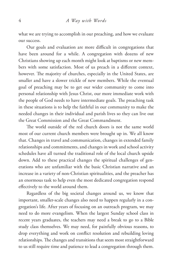what we are trying to accomplish in our preaching, and how we evaluate our success.

Our goals and evaluation are more difficult in congregations that have been around for a while. A congregation with dozens of new Christians showing up each month might look at baptisms or new members with some satisfaction. Most of us preach in a different context, however. The majority of churches, especially in the United States, are smaller and have a slower trickle of new members. While the eventual goal of preaching may be to get our wider community to come into personal relationship with Jesus Christ, our more immediate work with the people of God needs to have intermediate goals. The preaching task in these situations is to help the faithful in our community to make the needed changes in their individual and parish lives so they can live out the Great Commission and the Great Commandment.

The world outside of the red church doors is not the same world most of our current church members were brought up in. We all know that. Changes in travel and communication, changes in extended family relationships and commitments, and changes in work and school activity schedules have all turned the traditional role of the local church upside down. Add to these practical changes the spiritual challenges of generations who are unfamiliar with the basic Christian narrative and an increase in a variety of non-Christian spiritualities, and the preacher has an enormous task to help even the most dedicated congregation respond effectively to the world around them.

Regardless of the big societal changes around us, we know that important, smaller-scale changes also need to happen regularly in a congregation's life. After years of focusing on an outreach program, we may need to do more evangelism. When the largest Sunday school class in recent years graduates, the teachers may need a break to go to a Bible study class themselves. We may need, for painfully obvious reasons, to drop everything and work on conflict resolution and rebuilding loving relationships. The changes and transitions that seem most straightforward to us still require time and patience to lead a congregation through them.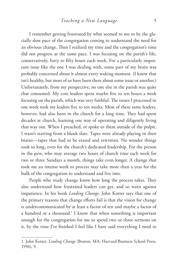I remember getting frustrated by what seemed to me to be the glacially slow pace of the congregation coming to understand the need for an obvious change. Then I realized my time and the congregation's time did not progress at the same pace. I was focusing on the parish's life, conservatively, forty to fifty hours each week. For a particularly important issue like the one I was dealing with, some part of my brain was probably concerned about it almost every waking moment. (I know that isn't healthy, but most of us have been there about some issue or another.) Unfortunately, from my perspective, no one else in the parish was quite that consumed. My core leaders spent maybe five to ten hours a week focusing on the parish, which was very faithful. The issues I processed in one week took my leaders five to ten weeks. Most of these same leaders, however, had also been in the church for a long time. They had spent decades at church, learning one way of operating and diligently living that way out. When I preached, or spoke to them outside of the pulpit, I wasn't starting from a blank slate. Tapes were already playing in their brains—tapes that had to be erased and rewritten. No wonder things took so long, even for the church's dedicated leadership. For the person in the pew, who may average two hours of church time each week for two or three Sundays a month, things take even longer. A change that took me an intense week to process may take more than a year for the bulk of the congregation to understand and live into.

People who study change know how long the process takes. They also understand how frustrated leaders can get, and so warn against impatience. In his book *Leading Change,* John Kotter says that one of the primary reasons that change efforts fail is that the vision for change is undercommunicated by at least a factor of ten and maybe a factor of a hundred or a thousand.<sup>1</sup> I know that when something is important enough for the congregation for me to spend two or three sermons on it, by the time I've finished I feel like I have said everything I need to

<sup>1.</sup> John Kotter, *Leading Change* (Boston, MA: Harvard Business School Press, 1996), 9.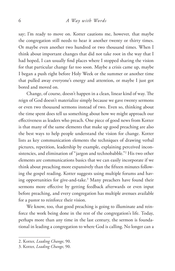say; I'm ready to move on. Kotter cautions me, however, that maybe the congregation still needs to hear it another twenty or thirty times. Or maybe even another two hundred or two thousand times. When I think about important changes that did not take root in the way that I had hoped, I can usually find places where I stopped sharing the vision for that particular change far too soon. Maybe a crisis came up, maybe I began a push right before Holy Week or the summer or another time that pulled away everyone's energy and attention, or maybe I just got bored and moved on.

Change, of course, doesn't happen in a clean, linear kind of way. The reign of God doesn't materialize simply because we gave twenty sermons or even two thousand sermons instead of two. Even so, thinking about the time spent does tell us something about how we might approach our effectiveness as leaders who preach. One piece of good news from Kotter is that many of the same elements that make up good preaching are also the best ways to help people understand the vision for change. Kotter lists as key communication elements the techniques of drawing verbal pictures, repetition, leadership by example, explaining perceived inconsistencies, and elimination of "jargon and technobabble."2 His two other elements are communications basics that we can easily incorporate if we think about preaching more expansively than the fifteen minutes following the gospel reading. Kotter suggests using multiple forums and having opportunities for give-and-take.3 Many preachers have found their sermons more effective by getting feedback afterwards or even input before preaching, and every congregation has multiple avenues available for a pastor to reinforce their vision.

We know, too, that good preaching is going to illuminate and reinforce the work being done in the rest of the congregation's life. Today, perhaps more than any time in the last century, the sermon is foundational in leading a congregation to where God is calling. No longer can a

<sup>2.</sup> Kotter, *Leading Change*, 90.

<sup>3.</sup> Kotter, *Leading Change*, 90.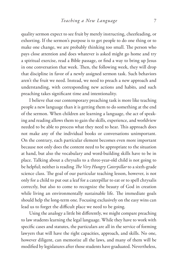quality sermon expect to see fruit by merely instructing, cheerleading, or exhorting. If the sermon's purpose is to get people to do one thing or to make one change, we are probably thinking too small. The person who pays close attention and does whatever is asked might go home and try a spiritual exercise, read a Bible passage, or find a way to bring up Jesus in one conversation that week. Then, the following week, they will drop that discipline in favor of a newly assigned sermon task. Such behaviors aren't the fruit we need. Instead, we need to preach a new approach and understanding, with corresponding new actions and habits, and such preaching takes significant time and intentionality.

I believe that our contemporary preaching task is more like teaching people a new language than it is getting them to do something at the end of the sermon. When children are learning a language, the act of speaking and reading allows them to gain the skills, experience, and worldview needed to be able to process what they need to hear. This approach does not make any of the individual books or conversations unimportant. On the contrary, each particular element becomes even more important because not only does the content need to be appropriate to the situation at hand, but also the vocabulary and word-building skills have to be in place. Talking about a chrysalis to a three-year-old child is not going to be helpful; neither is reading *The Very Hungry Caterpillar* to a sixth-grade science class. The goal of our particular teaching lesson, however, is not only for a child to put out a leaf for a caterpillar to eat or to spell chrysalis correctly, but also to come to recognize the beauty of God in creation while living an environmentally sustainable life. The immediate goals should help the long-term one. Focusing exclusively on the easy wins can lead us to forget the difficult place we need to be going.

Using the analogy a little bit differently, we might compare preaching to law students learning the legal language. While they have to work with specific cases and statutes, the particulars are all in the service of forming lawyers that will have the right capacities, approach, and skills. No one, however diligent, can memorize all the laws, and many of them will be modified by legislatures after those students have graduated. Nevertheless,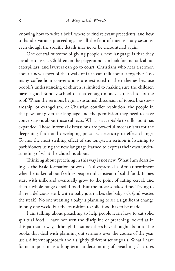knowing how to write a brief, where to find relevant precedents, and how to handle various proceedings are all the fruit of intense study sessions, even though the specific details may never be encountered again.

One central outcome of giving people a new language is that they are able to use it. Children on the playground can look for and talk about caterpillars, and lawyers can go to court. Christians who hear a sermon about a new aspect of their walk of faith can talk about it together. Too many coffee hour conversations are restricted in their themes because people's understanding of church is limited to making sure the children have a good Sunday school or that enough money is raised to fix the roof. When the sermons begin a sustained discussion of topics like stewardship, or evangelism, or Christian conflict resolution, the people in the pews are given the language and the permission they need to have conversations about those subjects. What is acceptable to talk about has expanded. Those informal discussions are powerful mechanisms for the deepening faith and developing practices necessary to effect change. To me, the most striking effect of the long-term sermon is listening to parishioners using the new language learned to express their own understanding of what the church is about.

Thinking about preaching in this way is not new. What I am describing is the basic formation process. Paul expressed a similar sentiment when he talked about feeding people milk instead of solid food. Babies start with milk and eventually grow to the point of eating cereal, and then a whole range of solid food. But the process takes time. Trying to share a delicious steak with a baby just makes the baby sick (and wastes the steak). No one weaning a baby is planning to see a significant change in only one week, but the transition to solid food has to be made.

I am talking about preaching to help people learn how to eat solid spiritual food. I have not seen the discipline of preaching looked at in this particular way, although I assume others have thought about it. The books that deal with planning out sermons over the course of the year use a different approach and a slightly different set of goals. What I have found important is a long-term understanding of preaching that uses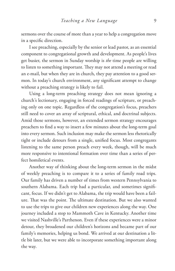sermons over the course of more than a year to help a congregation move in a specific direction.

I see preaching, especially by the senior or lead pastor, as an essential component to congregational growth and development. As people's lives get busier, the sermon in Sunday worship is *the* time people are willing to listen to something important. They may not attend a meeting or read an e-mail, but when they are in church, they pay attention to a good sermon. In today's church environment, any significant attempt to change without a preaching strategy is likely to fail.

Using a long-term preaching strategy does not mean ignoring a church's lectionary, engaging in forced readings of scripture, or preaching only on one topic. Regardless of the congregation's focus, preachers still need to cover an array of scriptural, ethical, and doctrinal subjects. Amid those sermons, however, an extended sermon strategy encourages preachers to find a way to insert a few minutes about the long-term goal into every sermon. Such inclusion may make the sermon less rhetorically tight or include detours from a single, unified focus. Most congregants listening to the same person preach every week, though, will be much more responsive to intentional formation over time than a series of perfect homiletical events.

Another way of thinking about the long-term sermon in the midst of weekly preaching is to compare it to a series of family road trips. Our family has driven a number of times from western Pennsylvania to southern Alabama. Each trip had a particular, and sometimes significant, focus. If we didn't get to Alabama, the trip would have been a failure. That was the point. The ultimate destination. But we also wanted to use the trips to give our children new experiences along the way. One journey included a stop to Mammoth Cave in Kentucky. Another time we visited Nashville's Parthenon. Even if these experiences were a minor detour, they broadened our children's horizons and became part of our family's memories, helping us bond. We arrived at our destination a little bit later, but we were able to incorporate something important along the way.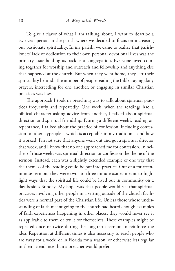To give a flavor of what I am talking about, I want to describe a two-year period in the parish where we decided to focus on increasing our passionate spirituality. In my parish, we came to realize that parishioners' lack of dedication to their own personal devotional lives was the primary issue holding us back as a congregation. Everyone loved coming together for worship and outreach and fellowship and anything else that happened at the church. But when they went home, they left their spirituality behind. The number of people reading the Bible, saying daily prayers, interceding for one another, or engaging in similar Christian practices was low.

The approach I took in preaching was to talk about spiritual practices frequently and repeatedly. One week, when the readings had a biblical character asking advice from another, I talked about spiritual direction and spiritual friendship. During a different week's reading on repentance, I talked about the practice of confession, including confession to other laypeople—which is acceptable in my tradition—and how it worked. I'm not sure that anyone went out and got a spiritual director that week, and I know that no one approached me for confession. In neither of those weeks was spiritual direction or confession the theme of the sermon. Instead, each was a slightly extended example of one way that the themes of the reading could be put into practice. Out of a fourteenminute sermon, they were two- to three-minute asides meant to highlight ways that the spiritual life could be lived out in community on a day besides Sunday. My hope was that people would see that spiritual practices involving other people in a setting outside of the church facilities were a normal part of the Christian life. Unless those whose understanding of faith meant going to the church had heard enough examples of faith experiences happening in other places, they would never see it as applicable to them or try it for themselves. These examples might be repeated once or twice during the long-term sermon to reinforce the idea. Repetition at different times is also necessary to reach people who are away for a week, or in Florida for a season, or otherwise less regular in their attendance than a preacher would prefer.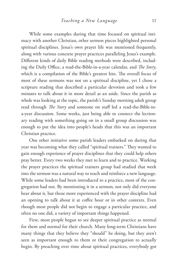While some examples during that time focused on spiritual intimacy with another Christian, other sermon pieces highlighted personal spiritual disciplines. Jesus's own prayer life was mentioned frequently, along with various concrete prayer practices paralleling Jesus's example. Different kinds of daily Bible reading methods were described, including the Daily Office, a read-the-Bible-in-a-year calendar, and *The Story*, which is a compilation of the Bible's greatest hits. The overall focus of most of these sermons was not on a spiritual discipline, yet I chose a scripture reading that described a particular devotion and took a few minutes to talk about it in more detail as an aside. Since the parish as whole was looking at the topic, the parish's Sunday morning adult group read through *The Story* and someone on staff led a read-the-Bible-ina-year discussion. Some weeks, just being able to connect the lectionary reading with something going on in a small group discussion was enough to put the idea into people's heads that this was an important Christian practice.

One other initiative some parish leaders embarked on during that year was becoming what they called "spiritual trainers." They wanted to gain enough experience of prayer disciplines that they could help others pray better. Every two weeks they met to learn and to practice. Working the prayer practices the spiritual trainers group had studied that week into the sermon was a natural way to teach and reinforce a new language. While some leaders had been introduced to a practice, most of the congregation had not. By mentioning it in a sermon, not only did everyone hear about it, but those more experienced with the prayer discipline had an opening to talk about it at coffee hour or in other contexts. Even though most people did not begin to engage a particular practice, and often no one did, a variety of important things happened.

First, most people began to see deeper spiritual practice as normal for them and normal for their church. Many long-term Christians have many things that they believe they "should" be doing, but they aren't seen as important enough to them or their congregation to actually begin. By preaching over time about spiritual practices, everybody got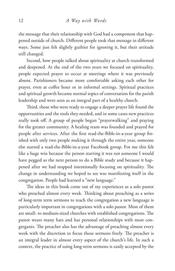the message that their relationship with God had a component that happened outside of church. Different people took that message in different ways. Some just felt slightly guiltier for ignoring it, but their attitude still changed.

Second, how people talked about spirituality at church transformed and deepened. At the end of the two years we focused on spirituality, people expected prayer to occur at meetings where it was previously absent. Parishioners became more comfortable asking each other for prayer, even at coffee hour or in informal settings. Spiritual practices and spiritual growth became normal topics of conversation for the parish leadership and were seen as an integral part of a healthy church.

Third, those who were ready to engage a deeper prayer life found the opportunities and the tools they needed, and in some cases new practices really took off. A group of people began "prayerwalking" and praying for the greater community. A healing team was founded and prayed for people after services. After the first read-the-Bible-in-a-year group finished with only two people making it through the entire year, someone else started a read-the-Bible-in-a-year Facebook group. For me this felt like a huge win because the person starting it was not someone I would have pegged as the next person to do a Bible study and because it happened after we had stopped intentionally focusing on spirituality. The change in understanding we hoped to see was manifesting itself in the congregation. People had learned a "new language."

The ideas in this book come out of my experiences as a solo pastor who preached almost every week. Thinking about preaching as a series of long-term term sermons to teach the congregation a new language is particularly important in congregations with a solo pastor. Most of them are small- to medium-sized churches with established congregations. The pastor wears many hats and has personal relationships with most congregants. The preacher also has the advantage of preaching almost every week with the discretion to focus those sermons freely. The preacher is an integral leader in almost every aspect of the church's life. In such a context, the practice of using long-term sermons is easily accepted by the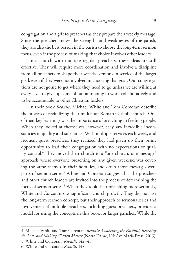congregation and a gift to preachers as they prepare their weekly message. Since the preacher knows the strengths and weaknesses of the parish, they are also the best person in the parish to choose the long-term sermon focus, even if the process of making that choice involves other leaders.

In a church with multiple regular preachers, these ideas are still effective. They will require more coordination and involve a discipline from all preachers to shape their weekly sermons in service of the larger goal, even if they were not involved in choosing that goal. Our congregations are not going to get where they need to go unless we are willing at every level to give up some of our autonomy to work collaboratively and to be accountable to other Christian leaders.

In their book *Rebuilt*, Michael White and Tom Corcoran describe the process of revitalizing their multistaff Roman Catholic church. One of their key learnings was the importance of preaching in feeding people. When they looked at themselves, however, they saw incredible inconstancies in quality and substance. With multiple services each week, and frequent guest preachers, they realized they had given up their prime opportunity to lead their congregation with no expectations or quality control.4 They moved their church to a "one church, one message" approach where everyone preaching on any given weekend was covering the same themes in their homilies, and often those messages were parts of sermon series.<sup>5</sup> White and Corcoran suggest that the preachers and other church leaders are invited into the process of determining the focus of sermon series.6 When they took their preaching more seriously, White and Corcoran saw significant church growth. They did not use the long-term sermon concept, but their approach to sermons series and involvement of multiple preachers, including guest preachers, provides a model for using the concepts in this book for larger parishes. While the

<sup>4.</sup> Michael White and Tom Corcoran, *Rebuilt: Awakening the Faithful, Reaching the Lost, and Making Church Matter* (Notre Dame, IN: Ave Maria Press, 2013). 5. White and Corcoran, *Rebuilt*, 142–43.

<sup>6.</sup> White and Corcoran, *Rebuilt*, 148.